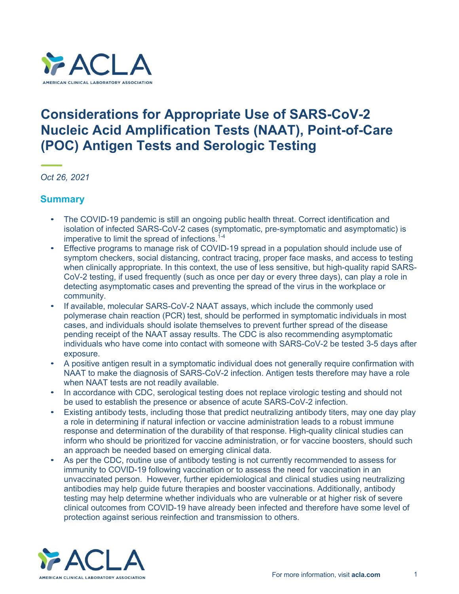

# **Considerations for Appropriate Use of SARS-CoV-2 Nucleic Acid Amplification Tests (NAAT), Point-of-Care (POC) Antigen Tests and Serologic Testing**

*Oct 26, 2021*

### **Summary**

- The COVID-19 pandemic is still an ongoing public health threat. Correct identification and isolation of infected SARS-CoV-2 cases (symptomatic, pre-symptomatic and asymptomatic) is imperative to limit the spread of infections. $1-4$
- Effective programs to manage risk of COVID-19 spread in a population should include use of symptom checkers, social distancing, contract tracing, proper face masks, and access to testing when clinically appropriate. In this context, the use of less sensitive, but high-quality rapid SARS-CoV-2 testing, if used frequently (such as once per day or every three days), can play a role in detecting asymptomatic cases and preventing the spread of the virus in the workplace or community.
- If available, molecular SARS-CoV-2 NAAT assays, which include the commonly used polymerase chain reaction (PCR) test, should be performed in symptomatic individuals in most cases, and individuals should isolate themselves to prevent further spread of the disease pending receipt of the NAAT assay results. The CDC is also recommending asymptomatic individuals who have come into contact with someone with SARS-CoV-2 be tested 3-5 days after exposure.
- A positive antigen result in a symptomatic individual does not generally require confirmation with NAAT to make the diagnosis of SARS-CoV-2 infection. Antigen tests therefore may have a role when NAAT tests are not readily available.
- In accordance with CDC, serological testing does not replace virologic testing and should not be used to establish the presence or absence of acute SARS-CoV-2 infection.
- Existing antibody tests, including those that predict neutralizing antibody titers, may one day play a role in determining if natural infection or vaccine administration leads to a robust immune response and determination of the durability of that response. High-quality clinical studies can inform who should be prioritized for vaccine administration, or for vaccine boosters, should such an approach be needed based on emerging clinical data.
- As per the CDC, routine use of antibody testing is not currently recommended to assess for immunity to COVID-19 following vaccination or to assess the need for vaccination in an unvaccinated person. However, further epidemiological and clinical studies using neutralizing antibodies may help guide future therapies and booster vaccinations. Additionally, antibody testing may help determine whether individuals who are vulnerable or at higher risk of severe clinical outcomes from COVID-19 have already been infected and therefore have some level of protection against serious reinfection and transmission to others.

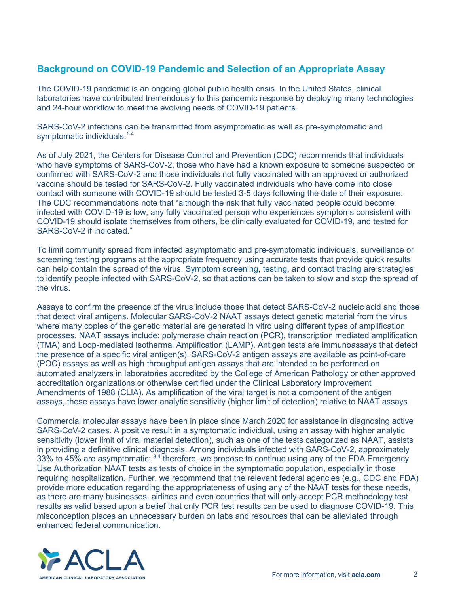# **Background on COVID-19 Pandemic and Selection of an Appropriate Assay**

The COVID-19 pandemic is an ongoing global public health crisis. In the United States, clinical laboratories have contributed tremendously to this pandemic response by deploying many technologies and 24-hour workflow to meet the evolving needs of COVID-19 patients.

SARS-CoV-2 infections can be transmitted from asymptomatic as well as pre-symptomatic and symptomatic individuals.<sup>1-4</sup>

As of July 2021, the Centers for Disease Control and Prevention (CDC) recommends that individuals who have symptoms of SARS-CoV-2, those who have had a known exposure to someone suspected or confirmed with SARS-CoV-2 and those individuals not fully vaccinated with an approved or authorized vaccine should be tested for SARS-CoV-2. Fully vaccinated individuals who have come into close contact with someone with COVID-19 should be tested 3-5 days following the date of their exposure. The CDC recommendations note that "although the risk that fully vaccinated people could become infected with COVID-19 is low, any fully vaccinated person who experiences symptoms consistent with COVID-19 should isolate themselves from others, be clinically evaluated for COVID-19, and tested for SARS-CoV-2 if indicated."

To limit community spread from infected asymptomatic and pre-symptomatic individuals, surveillance or screening testing programs at the appropriate frequency using accurate tests that provide quick results can help contain the spread of the virus. Symptom screening, testing, and contact tracing are strategies to identify people infected with SARS-CoV-2, so that actions can be taken to slow and stop the spread of the virus.

Assays to confirm the presence of the virus include those that detect SARS-CoV-2 nucleic acid and those that detect viral antigens. Molecular SARS-CoV-2 NAAT assays detect genetic material from the virus where many copies of the genetic material are generated in vitro using different types of amplification processes. NAAT assays include: polymerase chain reaction (PCR), transcription mediated amplification (TMA) and Loop-mediated Isothermal Amplification (LAMP). Antigen tests are immunoassays that detect the presence of a specific viral antigen(s). SARS-CoV-2 antigen assays are available as point-of-care (POC) assays as well as high throughput antigen assays that are intended to be performed on automated analyzers in laboratories accredited by the College of American Pathology or other approved accreditation organizations or otherwise certified under the Clinical Laboratory Improvement Amendments of 1988 (CLIA). As amplification of the viral target is not a component of the antigen assays, these assays have lower analytic sensitivity (higher limit of detection) relative to NAAT assays.

Commercial molecular assays have been in place since March 2020 for assistance in diagnosing active SARS-CoV-2 cases. A positive result in a symptomatic individual, using an assay with higher analytic sensitivity (lower limit of viral material detection), such as one of the tests categorized as NAAT, assists in providing a definitive clinical diagnosis. Among individuals infected with SARS-CoV-2, approximately  $33\%$  to 45% are asymptomatic;  $3.4$  therefore, we propose to continue using any of the FDA Emergency Use Authorization NAAT tests as tests of choice in the symptomatic population, especially in those requiring hospitalization. Further, we recommend that the relevant federal agencies (e.g., CDC and FDA) provide more education regarding the appropriateness of using any of the NAAT tests for these needs, as there are many businesses, airlines and even countries that will only accept PCR methodology test results as valid based upon a belief that only PCR test results can be used to diagnose COVID-19. This misconception places an unnecessary burden on labs and resources that can be alleviated through enhanced federal communication.

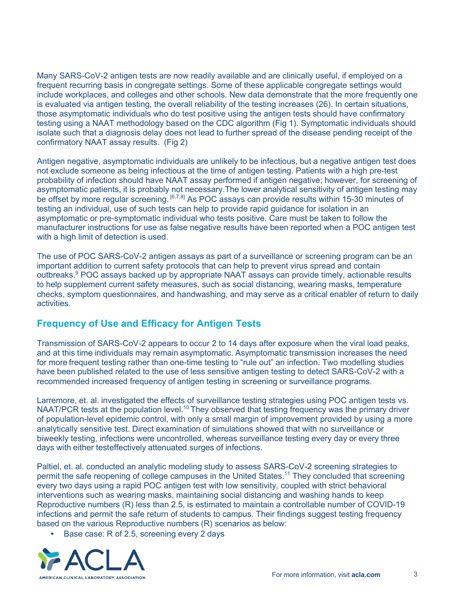Many SARS-CoV-2 antigen tests are now readily available and are clinically useful, if employed on a frequent recurring basis in congregate settings. Some of these applicable congregate settings would include workplaces, and colleges and other schools. New data demonstrate that the more frequently one is evaluated via antigen testing, the overall reliability of the testing increases (26). In certain situations, those asymptomatic individuals who do test positive using the antigen tests should have confirmatory testing using a NAAT methodology based on the CDC algorithm (Fig 1). Symptomatic individuals should isolate such that a diagnosis delay does not lead to further spread of the disease pending receipt of the confirmatory NAAT assay results. (Fig 2)

Antigen negative, asymptomatic individuals are unlikely to be infectious, but a negative antigen test does not exclude someone as being infectious at the time of antigen testing. Patients with a high pre-test probability of infection should have NAAT assay performed if antigen negative; however, for screening of asymptomatic patients, it is probably not necessary.The lower analytical sensitivity of antigen testing may be offset by more regular screening. <sup>[6,7,8]</sup> As POC assays can provide results within 15-30 minutes of testing an individual, use of such tests can help to provide rapid guidance for isolation in an asymptomatic or pre-symptomatic individual who tests positive. Care must be taken to follow the manufacturer instructions for use as false negative results have been reported when a POC antigen test with a high limit of detection is used.

The use of POC SARS-CoV-2 antigen assays as part of a surveillance or screening program can be an important addition to current safety protocols that can help to prevent virus spread and contain outbreaks.<sup>9</sup> POC assays backed up by appropriate NAAT assays can provide timely, actionable results to help supplement current safety measures, such as social distancing, wearing masks, temperature checks, symptom questionnaires, and handwashing, and may serve as a critical enabler of return to daily activities.

## **Frequency of Use and Efficacy for Antigen Tests**

Transmission of SARS-CoV-2 appears to occur 2 to 14 days after exposure when the viral load peaks, and at this time individuals may remain asymptomatic. Asymptomatic transmission increases the need for more frequent testing rather than one-time testing to "rule out" an infection. Two modelling studies have been published related to the use of less sensitive antigen testing to detect SARS-CoV-2 with a recommended increased frequency of antigen testing in screening or surveillance programs.

Larremore, et. al. investigated the effects of surveillance testing strategies using POC antigen tests vs. NAAT/PCR tests at the population level.<sup>10</sup> They observed that testing frequency was the primary driver of population-level epidemic control, with only a small margin of improvement provided by using a more analytically sensitive test. Direct examination of simulations showed that with no surveillance or biweekly testing, infections were uncontrolled, whereas surveillance testing every day or every three days with either testeffectively attenuated surges of infections.

Paltiel, et. al. conducted an analytic modeling study to assess SARS-CoV-2 screening strategies to permit the safe reopening of college campuses in the United States.<sup>11</sup> They concluded that screening every two days using a rapid POC antigen test with low sensitivity, coupled with strict behavioral interventions such as wearing masks, maintaining social distancing and washing hands to keep Reproductive numbers (R) less than 2.5, is estimated to maintain a controllable number of COVID-19 infections and permit the safe return of students to campus. Their findings suggest testing frequency based on the various Reproductive numbers (R) scenarios as below:

Base case: R of 2.5, screening every 2 days

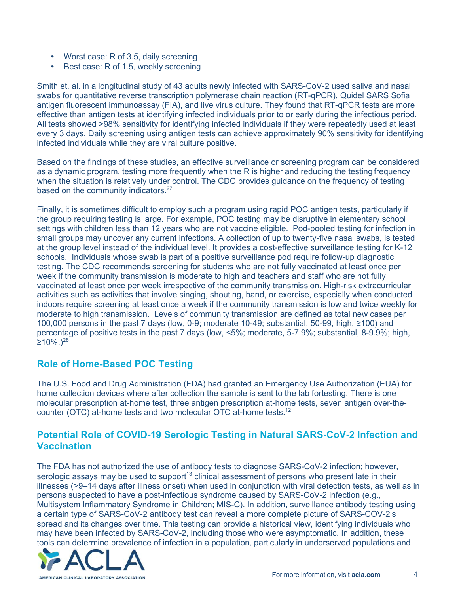- Worst case: R of 3.5, daily screening
- Best case: R of 1.5, weekly screening

Smith et. al. in a longitudinal study of 43 adults newly infected with SARS-CoV-2 used saliva and nasal swabs for quantitative reverse transcription polymerase chain reaction (RT-qPCR), Quidel SARS Sofia antigen fluorescent immunoassay (FIA), and live virus culture. They found that RT-qPCR tests are more effective than antigen tests at identifying infected individuals prior to or early during the infectious period. All tests showed >98% sensitivity for identifying infected individuals if they were repeatedly used at least every 3 days. Daily screening using antigen tests can achieve approximately 90% sensitivity for identifying infected individuals while they are viral culture positive.

Based on the findings of these studies, an effective surveillance or screening program can be considered as a dynamic program, testing more frequently when the R is higher and reducing the testing frequency when the situation is relatively under control. The CDC provides guidance on the frequency of testing based on the community indicators.<sup>27</sup>

Finally, it is sometimes difficult to employ such a program using rapid POC antigen tests, particularly if the group requiring testing is large. For example, POC testing may be disruptive in elementary school settings with children less than 12 years who are not vaccine eligible. Pod-pooled testing for infection in small groups may uncover any current infections. A collection of up to twenty-five nasal swabs, is tested at the group level instead of the individual level. It provides a cost-effective surveillance testing for K-12 schools. Individuals whose swab is part of a positive surveillance pod require follow-up diagnostic testing. The CDC recommends screening for students who are not fully vaccinated at least once per week if the community transmission is moderate to high and teachers and staff who are not fully vaccinated at least once per week irrespective of the community transmission. High-risk extracurricular activities such as activities that involve singing, shouting, band, or exercise, especially when conducted indoors require screening at least once a week if the community transmission is low and twice weekly for moderate to high transmission. Levels of community transmission are defined as total new cases per 100,000 persons in the past 7 days (low, 0-9; moderate 10-49; substantial, 50-99, high, ≥100) and percentage of positive tests in the past 7 days (low, <5%; moderate, 5-7.9%; substantial, 8-9.9%; high,  $≥10\%$ .)<sup>28</sup>

## **Role of Home-Based POC Testing**

The U.S. Food and Drug Administration (FDA) had granted an Emergency Use Authorization (EUA) for home collection devices where after collection the sample is sent to the lab fortesting. There is one molecular prescription at-home test, three antigen prescription at-home tests, seven antigen over-thecounter (OTC) at-home tests and two molecular OTC at-home tests.<sup>12</sup>

### **Potential Role of COVID-19 Serologic Testing in Natural SARS-CoV-2 Infection and Vaccination**

The FDA has not authorized the use of antibody tests to diagnose SARS-CoV-2 infection; however, serologic assays may be used to support<sup>13</sup> clinical assessment of persons who present late in their illnesses (>9–14 days after illness onset) when used in conjunction with viral detection tests, as well as in persons suspected to have a post-infectious syndrome caused by SARS-CoV-2 infection (e.g., Multisystem Inflammatory Syndrome in Children; MIS-C). In addition, surveillance antibody testing using a certain type of SARS-CoV-2 antibody test can reveal a more complete picture of SARS-COV-2's spread and its changes over time. This testing can provide a historical view, identifying individuals who may have been infected by SARS-CoV-2, including those who were asymptomatic. In addition, these tools can determine prevalence of infection in a population, particularly in underserved populations and

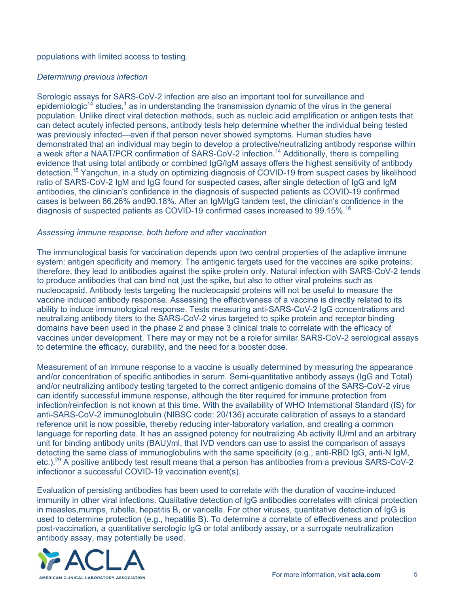#### populations with limited access to testing.

#### *Determining previous infection*

Serologic assays for SARS-CoV-2 infection are also an important tool for surveillance and epidemiologic<sup>14</sup> studies,<sup>1</sup> as in understanding the transmission dynamic of the virus in the general population. Unlike direct viral detection methods, such as nucleic acid amplification or antigen tests that can detect acutely infected persons, antibody tests help determine whether the individual being tested was previously infected—even if that person never showed symptoms. Human studies have demonstrated that an individual may begin to develop a protective/neutralizing antibody response within a week after a NAAT/PCR confirmation of SARS-CoV-2 infection.14 Additionally, there is compelling evidence that using total antibody or combined IgG/IgM assays offers the highest sensitivity of antibody detection.15 Yangchun, in a study on optimizing diagnosis of COVID-19 from suspect cases by likelihood ratio of SARS-CoV-2 IgM and IgG found for suspected cases, after single detection of IgG and IgM antibodies, the clinician's confidence in the diagnosis of suspected patients as COVID-19 confirmed cases is between 86.26% and90.18%. After an IgM/IgG tandem test, the clinician's confidence in the diagnosis of suspected patients as COVID-19 confirmed cases increased to 99.15%.<sup>16</sup>

#### *Assessing immune response, both before and after vaccination*

The immunological basis for vaccination depends upon two central properties of the adaptive immune system: antigen specificity and memory. The antigenic targets used for the vaccines are spike proteins; therefore, they lead to antibodies against the spike protein only. Natural infection with SARS-CoV-2 tends to produce antibodies that can bind not just the spike, but also to other viral proteins such as nucleocapsid. Antibody tests targeting the nucleocapsid proteins will not be useful to measure the vaccine induced antibody response. Assessing the effectiveness of a vaccine is directly related to its ability to induce immunological response. Tests measuring anti-SARS-CoV-2 IgG concentrations and neutralizing antibody titers to the SARS-CoV-2 virus targeted to spike protein and receptor binding domains have been used in the phase 2 and phase 3 clinical trials to correlate with the efficacy of vaccines under development. There may or may not be a role for similar SARS-CoV-2 serological assays to determine the efficacy, durability, and the need for a booster dose.

Measurement of an immune response to a vaccine is usually determined by measuring the appearance and/or concentration of specific antibodies in serum. Semi-quantitative antibody assays (IgG and Total) and/or neutralizing antibody testing targeted to the correct antigenic domains of the SARS-CoV-2 virus can identify successful immune response, although the titer required for immune protection from infection/reinfection is not known at this time. With the availability of WHO International Standard (IS) for anti-SARS-CoV-2 immunoglobulin (NIBSC code: 20/136) accurate calibration of assays to a standard reference unit is now possible, thereby reducing inter-laboratory variation, and creating a common language for reporting data. It has an assigned potency for neutralizing Ab activity IU/ml and an arbitrary unit for binding antibody units (BAU)/ml, that IVD vendors can use to assist the comparison of assays detecting the same class of immunoglobulins with the same specificity (e.g., anti-RBD IgG, anti-N IgM, etc.).29 A positive antibody test result means that a person has antibodies from a previous SARS-CoV-2 infectionor a successful COVID-19 vaccination event(s).

Evaluation of persisting antibodies has been used to correlate with the duration of vaccine-induced immunity in other viral infections. Qualitative detection of IgG antibodies correlates with clinical protection in measles,mumps, rubella, hepatitis B, or varicella. For other viruses, quantitative detection of IgG is used to determine protection (e.g., hepatitis B). To determine a correlate of effectiveness and protection post-vaccination, a quantitative serologic IgG or total antibody assay, or a surrogate neutralization antibody assay, may potentially be used.

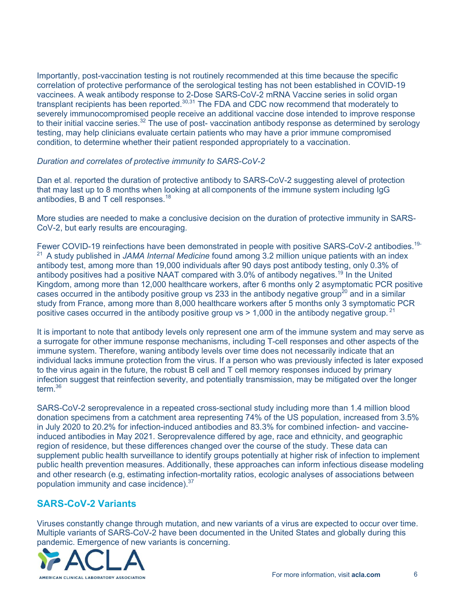Importantly, post-vaccination testing is not routinely recommended at this time because the specific correlation of protective performance of the serological testing has not been established in COVID-19 vaccinees. A weak antibody response to 2-Dose SARS-CoV-2 mRNA Vaccine series in solid organ transplant recipients has been reported.<sup>30,31</sup> The FDA and CDC now recommend that moderately to severely immunocompromised people receive an additional vaccine dose intended to improve response to their initial vaccine series.<sup>32</sup> The use of post- vaccination antibody response as determined by serology testing, may help clinicians evaluate certain patients who may have a prior immune compromised condition, to determine whether their patient responded appropriately to a vaccination.

#### *Duration and correlates of protective immunity to SARS-CoV-2*

Dan et al. reported the duration of protective antibody to SARS-CoV-2 suggesting alevel of protection that may last up to 8 months when looking at all components of the immune system including IgG antibodies, B and T cell responses.18

More studies are needed to make a conclusive decision on the duration of protective immunity in SARS-CoV-2, but early results are encouraging.

Fewer COVID-19 reinfections have been demonstrated in people with positive SARS-CoV-2 antibodies.<sup>19-</sup> 21 A study published in *JAMA Internal Medicine* found among 3.2 million unique patients with an index antibody test, among more than 19,000 individuals after 90 days post antibody testing, only 0.3% of antibody positives had a positive NAAT compared with 3.0% of antibody negatives.<sup>19</sup> In the United Kingdom, among more than 12,000 healthcare workers, after 6 months only 2 asymptomatic PCR positive cases occurred in the antibody positive group vs 233 in the antibody negative group<sup>20</sup> and in a similar study from France, among more than 8,000 healthcare workers after 5 months only 3 symptomatic PCR positive cases occurred in the antibody positive group  $vs > 1,000$  in the antibody negative group.<sup>21</sup>

It is important to note that antibody levels only represent one arm of the immune system and may serve as a surrogate for other immune response mechanisms, including T-cell responses and other aspects of the immune system. Therefore, waning antibody levels over time does not necessarily indicate that an individual lacks immune protection from the virus. If a person who was previously infected is later exposed to the virus again in the future, the robust B cell and T cell memory responses induced by primary infection suggest that reinfection severity, and potentially transmission, may be mitigated over the longer term.36

SARS-CoV-2 seroprevalence in a repeated cross-sectional study including more than 1.4 million blood donation specimens from a catchment area representing 74% of the US population, increased from 3.5% in July 2020 to 20.2% for infection-induced antibodies and 83.3% for combined infection- and vaccineinduced antibodies in May 2021. Seroprevalence differed by age, race and ethnicity, and geographic region of residence, but these differences changed over the course of the study. These data can supplement public health surveillance to identify groups potentially at higher risk of infection to implement public health prevention measures. Additionally, these approaches can inform infectious disease modeling and other research (e.g, estimating infection-mortality ratios, ecologic analyses of associations between population immunity and case incidence).37

### **SARS-CoV-2 Variants**

Viruses constantly change through mutation, and new variants of a virus are expected to occur over time. Multiple variants of SARS-CoV-2 have been documented in the United States and globally during this pandemic. Emergence of new variants is concerning.

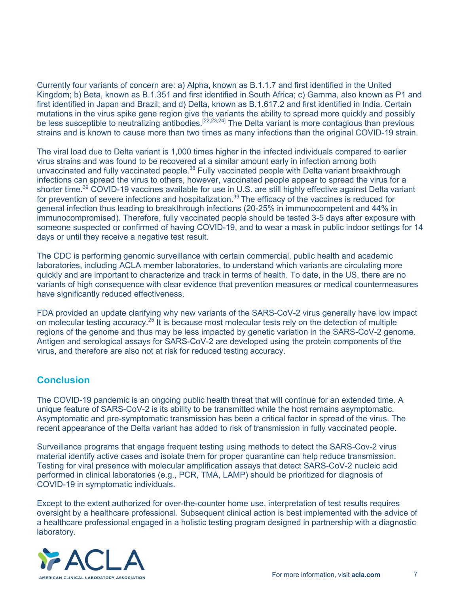Currently four variants of concern are: a) Alpha, known as B.1.1.7 and first identified in the United Kingdom; b) Beta, known as B.1.351 and first identified in South Africa; c) Gamma, also known as P1 and first identified in Japan and Brazil; and d) Delta, known as B.1.617.2 and first identified in India. Certain mutations in the virus spike gene region give the variants the ability to spread more quickly and possibly be less susceptible to neutralizing antibodies.<sup>[22,23,24]</sup> The Delta variant is more contagious than previous strains and is known to cause more than two times as many infections than the original COVID-19 strain.

The viral load due to Delta variant is 1,000 times higher in the infected individuals compared to earlier virus strains and was found to be recovered at a similar amount early in infection among both unvaccinated and fully vaccinated people.<sup>38</sup> Fully vaccinated people with Delta variant breakthrough infections can spread the virus to others, however, vaccinated people appear to spread the virus for a shorter time.<sup>39</sup> COVID-19 vaccines available for use in U.S. are still highly effective against Delta variant for prevention of severe infections and hospitalization.<sup>39</sup> The efficacy of the vaccines is reduced for general infection thus leading to breakthrough infections (20-25% in immunocompetent and 44% in immunocompromised). Therefore, fully vaccinated people should be tested 3-5 days after exposure with someone suspected or confirmed of having COVID-19, and to wear a mask in public indoor settings for 14 days or until they receive a negative test result.

The CDC is performing genomic surveillance with certain commercial, public health and academic laboratories, including ACLA member laboratories, to understand which variants are circulating more quickly and are important to characterize and track in terms of health. To date, in the US, there are no variants of high consequence with clear evidence that prevention measures or medical countermeasures have significantly reduced effectiveness.

FDA provided an update clarifying why new variants of the SARS-CoV-2 virus generally have low impact on molecular testing accuracy.25 It is because most molecular tests rely on the detection of multiple regions of the genome and thus may be less impacted by genetic variation in the SARS-CoV-2 genome. Antigen and serological assays for SARS-CoV-2 are developed using the protein components of the virus, and therefore are also not at risk for reduced testing accuracy.

## **Conclusion**

The COVID-19 pandemic is an ongoing public health threat that will continue for an extended time. A unique feature of SARS-CoV-2 is its ability to be transmitted while the host remains asymptomatic. Asymptomatic and pre-symptomatic transmission has been a critical factor in spread of the virus. The recent appearance of the Delta variant has added to risk of transmission in fully vaccinated people.

Surveillance programs that engage frequent testing using methods to detect the SARS-Cov-2 virus material identify active cases and isolate them for proper quarantine can help reduce transmission. Testing for viral presence with molecular amplification assays that detect SARS-CoV-2 nucleic acid performed in clinical laboratories (e.g., PCR, TMA, LAMP) should be prioritized for diagnosis of COVID-19 in symptomatic individuals.

Except to the extent authorized for over-the-counter home use, interpretation of test results requires oversight by a healthcare professional. Subsequent clinical action is best implemented with the advice of a healthcare professional engaged in a holistic testing program designed in partnership with a diagnostic laboratory.

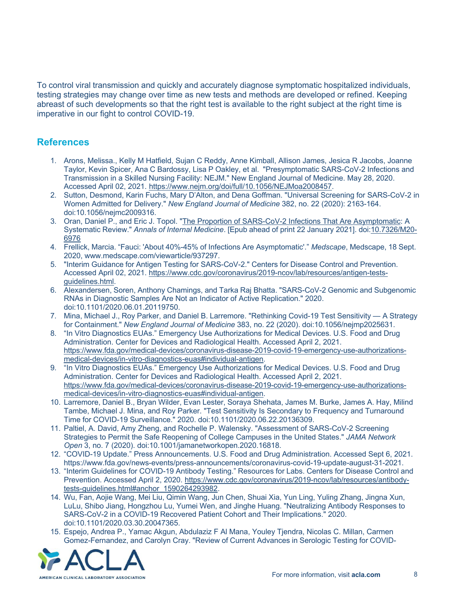To control viral transmission and quickly and accurately diagnose symptomatic hospitalized individuals, testing strategies may change over time as new tests and methods are developed or refined. Keeping abreast of such developments so that the right test is available to the right subject at the right time is imperative in our fight to control COVID-19.

### **References**

- 1. Arons, Melissa., Kelly M Hatfield, Sujan C Reddy, Anne Kimball, Allison James, Jesica R Jacobs, Joanne Taylor, Kevin Spicer, Ana C Bardossy, Lisa P Oakley, et al. "Presymptomatic SARS-CoV-2 Infections and Transmission in a Skilled Nursing Facility: NEJM." New England Journal of Medicine. May 28, 2020. Accessed April 02, 2021. https://www.nejm.org/doi/full/10.1056/NEJMoa2008457.
- 2. Sutton, Desmond, Karin Fuchs, Mary D'Alton, and Dena Goffman. "Universal Screening for SARS-CoV-2 in Women Admitted for Delivery." *New England Journal of Medicine* 382, no. 22 (2020): 2163-164. doi:10.1056/nejmc2009316.
- 3. Oran, Daniel P., and Eric J. Topol. "The Proportion of SARS-CoV-2 Infections That Are Asymptomatic: A Systematic Review." *Annals of Internal Medicine*. [Epub ahead of print 22 January 2021]. doi:10.7326/M20- 6976
- 4. Frellick, Marcia. "Fauci: 'About 40%-45% of Infections Are Asymptomatic'." *Medscape*, Medscape, 18 Sept. 2020, www.medscape.com/viewarticle/937297.
- 5. "Interim Guidance for Antigen Testing for SARS-CoV-2." Centers for Disease Control and Prevention. Accessed April 02, 2021. https://www.cdc.gov/coronavirus/2019-ncov/lab/resources/antigen-testsguidelines.html.
- 6. Alexandersen, Soren, Anthony Chamings, and Tarka Raj Bhatta. "SARS-CoV-2 Genomic and Subgenomic RNAs in Diagnostic Samples Are Not an Indicator of Active Replication." 2020. doi:10.1101/2020.06.01.20119750.
- 7. Mina, Michael J., Roy Parker, and Daniel B. Larremore. "Rethinking Covid-19 Test Sensitivity A Strategy for Containment." *New England Journal of Medicine* 383, no. 22 (2020). doi:10.1056/nejmp2025631.
- 8. "In Vitro Diagnostics EUAs." Emergency Use Authorizations for Medical Devices. U.S. Food and Drug Administration. Center for Devices and Radiological Health. Accessed April 2, 2021. https://www.fda.gov/medical-devices/coronavirus-disease-2019-covid-19-emergency-use-authorizationsmedical-devices/in-vitro-diagnostics-euas#individual-antigen.
- 9. <sup>"In Vitro Diagnostics EUAs." Emergency Use Authorizations for Medical Devices. U.S. Food and Drug</sup> Administration. Center for Devices and Radiological Health. Accessed April 2, 2021. https://www.fda.gov/medical-devices/coronavirus-disease-2019-covid-19-emergency-use-authorizationsmedical-devices/in-vitro-diagnostics-euas#individual-antigen.
- 10. Larremore, Daniel B., Bryan Wilder, Evan Lester, Soraya Shehata, James M. Burke, James A. Hay, Milind Tambe, Michael J. Mina, and Roy Parker. "Test Sensitivity Is Secondary to Frequency and Turnaround Time for COVID-19 Surveillance." 2020. doi:10.1101/2020.06.22.20136309.
- 11. Paltiel, A. David, Amy Zheng, and Rochelle P. Walensky. "Assessment of SARS-CoV-2 Screening Strategies to Permit the Safe Reopening of College Campuses in the United States." *JAMA Network Open* 3, no. 7 (2020). doi:10.1001/jamanetworkopen.2020.16818.
- 12. "COVID-19 Update." Press Announcements. U.S. Food and Drug Administration. Accessed Sept 6, 2021. https://www.fda.gov/news-events/press-announcements/coronavirus-covid-19-update-august-31-2021.
- 13. "Interim Guidelines for COVID-19 Antibody Testing." Resources for Labs. Centers for Disease Control and Prevention. Accessed April 2, 2020. https://www.cdc.gov/coronavirus/2019-ncov/lab/resources/antibodytests-guidelines.html#anchor\_1590264293982.
- 14. Wu, Fan, Aojie Wang, Mei Liu, Qimin Wang, Jun Chen, Shuai Xia, Yun Ling, Yuling Zhang, Jingna Xun, LuLu, Shibo Jiang, Hongzhou Lu, Yumei Wen, and Jinghe Huang. "Neutralizing Antibody Responses to SARS-CoV-2 in a COVID-19 Recovered Patient Cohort and Their Implications." 2020. doi:10.1101/2020.03.30.20047365.
- 15. Espejo, Andrea P., Yamac Akgun, Abdulaziz F Al Mana, Youley Tjendra, Nicolas C. Millan, Carmen Gomez-Fernandez, and Carolyn Cray. "Review of Current Advances in Serologic Testing for COVID-

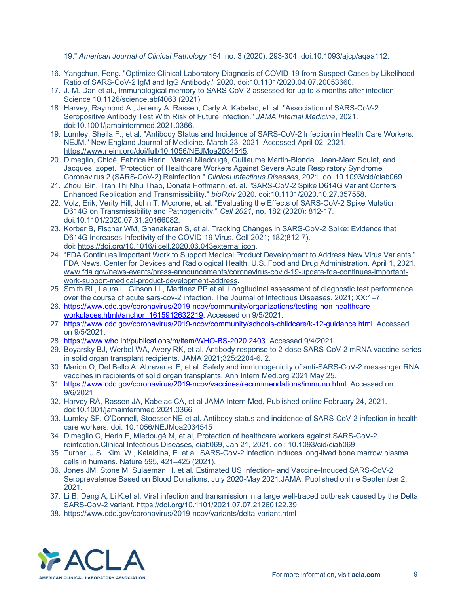19." *American Journal of Clinical Pathology* 154, no. 3 (2020): 293-304. doi:10.1093/ajcp/aqaa112.

- 16. Yangchun, Feng. "Optimize Clinical Laboratory Diagnosis of COVID-19 from Suspect Cases by Likelihood Ratio of SARS-CoV-2 IgM and IgG Antibody." 2020. doi:10.1101/2020.04.07.20053660.
- 17. J. M. Dan et al., Immunological memory to SARS-CoV-2 assessed for up to 8 months after infection Science 10.1126/science.abf4063 (2021)
- 18. Harvey, Raymond A., Jeremy A. Rassen, Carly A. Kabelac, et. al. "Association of SARS-CoV-2 Seropositive Antibody Test With Risk of Future Infection." *JAMA Internal Medicine*, 2021. doi:10.1001/jamainternmed.2021.0366.
- 19. Lumley, Sheila F., et al. "Antibody Status and Incidence of SARS-CoV-2 Infection in Health Care Workers: NEJM." New England Journal of Medicine. March 23, 2021. Accessed April 02, 2021. https://www.nejm.org/doi/full/10.1056/NEJMoa2034545.
- 20. Dimeglio, Chloé, Fabrice Herin, Marcel Miedougé, Guillaume Martin-Blondel, Jean-Marc Soulat, and Jacques Izopet. "Protection of Healthcare Workers Against Severe Acute Respiratory Syndrome Coronavirus 2 (SARS-CoV-2) Reinfection." *Clinical Infectious Diseases*, 2021. doi:10.1093/cid/ciab069.
- 21. Zhou, Bin, Tran Thi Nhu Thao, Donata Hoffmann, et. al. "SARS-CoV-2 Spike D614G Variant Confers Enhanced Replication and Transmissibility." *bioRxiv* 2020. doi:10.1101/2020.10.27.357558.
- 22. Volz, Erik, Verity Hill, John T. Mccrone, et. al. "Evaluating the Effects of SARS-CoV-2 Spike Mutation D614G on Transmissibility and Pathogenicity." *Cell 2021*, no. 182 (2020): 812-17. doi:10.1101/2020.07.31.20166082.
- 23. Korber B, Fischer WM, Gnanakaran S, et al. Tracking Changes in SARS-CoV-2 Spike: Evidence that D614G Increases Infectivity of the COVID-19 Virus. Cell 2021; 182(812-7). doi: https://doi.org/10.1016/j.cell.2020.06.043external icon.
- 24. "FDA Continues Important Work to Support Medical Product Development to Address New Virus Variants." FDA News. Center for Devices and Radiological Health. U.S. Food and Drug Administration. April 1, 2021. www.fda.gov/news-events/press-announcements/coronavirus-covid-19-update-fda-continues-importantwork-support-medical-product-development-address.
- 25. Smith RL, Laura L. Gibson LL, Martinez PP et al. Longitudinal assessment of diagnostic test performance over the course of acute sars-cov-2 infection. The Journal of Infectious Diseases. 2021; XX:1–7.
- 26. https://www.cdc.gov/coronavirus/2019-ncov/community/organizations/testing-non-healthcareworkplaces.html#anchor\_1615912632219. Accessed on 9/5/2021.
- 27. https://www.cdc.gov/coronavirus/2019-ncov/community/schools-childcare/k-12-guidance.html. Accessed on 9/5/2021.
- 28. https://www.who.int/publications/m/item/WHO-BS-2020.2403. Accessed 9/4/2021.
- 29. Boyarsky BJ, Werbel WA, Avery RK, et al. Antibody response to 2-dose SARS-CoV-2 mRNA vaccine series in solid organ transplant recipients. JAMA 2021;325:2204-6. 2.
- 30. Marion O, Del Bello A, Abravanel F, et al. Safety and immunogenicity of anti-SARS-CoV-2 messenger RNA vaccines in recipients of solid organ transplants. Ann Intern Med.org 2021 May 25.
- 31. https://www.cdc.gov/coronavirus/2019-ncov/vaccines/recommendations/immuno.html. Accessed on 9/6/2021
- 32. Harvey RA, Rassen JA, Kabelac CA, et al JAMA Intern Med. Published online February 24, 2021. doi:10.1001/jamainternmed.2021.0366
- 33. Lumley SF, O'Donnell, Stoesser NE et al. Antibody status and incidence of SARS-CoV-2 infection in health care workers. doi: 10.1056/NEJMoa2034545
- 34. Dimeglio C, Herin F, Miedougé M, et al, Protection of healthcare workers against SARS-CoV-2 reinfection.Clinical Infectious Diseases, ciab069, Jan 21, 2021. doi: 10.1093/cid/ciab069
- 35. Turner, J.S., Kim, W., Kalaidina, E. et al. SARS-CoV-2 infection induces long-lived bone marrow plasma cells in humans. Nature 595, 421–425 (2021).
- 36. Jones JM, Stone M, Sulaeman H. et al. Estimated US Infection- and Vaccine-Induced SARS-CoV-2 Seroprevalence Based on Blood Donations, July 2020-May 2021.JAMA. Published online September 2, 2021.
- 37. Li B, Deng A, Li K.et al. Viral infection and transmission in a large well-traced outbreak caused by the Delta SARS-CoV-2 variant. https://doi.org/10.1101/2021.07.07.21260122.39
- 38. https://www.cdc.gov/coronavirus/2019-ncov/variants/delta-variant.html

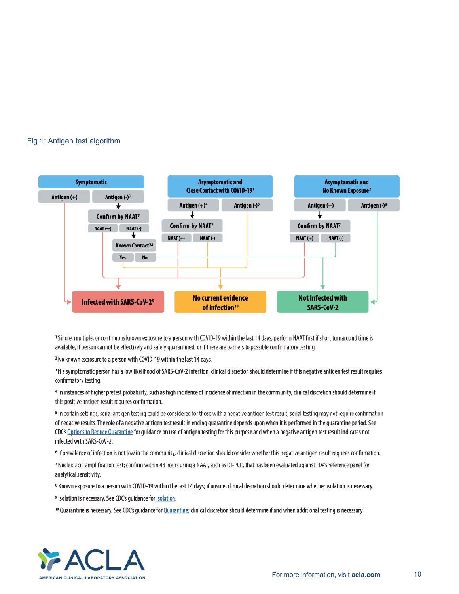#### Fig 1: Antigen test algorithm



1 Single, multiple, or continuous known exposure to a person with COVID-19 within the last 14 days; perform NAAT first if short turnaround time is available, if person cannot be effectively and safely quarantined, or if there are barriers to possible confirmatory testing.

<sup>2</sup> No known exposure to a person with COVID-19 within the last 14 days.

<sup>3</sup> If a symptomatic person has a low likelihood of SARS-CoV-2 infection, clinical discretion should determine if this negative antigen test result requires confirmatory testing.

4 In instances of higher pretest probability, such as high incidence of incidence of infection in the community, clinical discretion should determine if this positive antigen result requires confirmation.

<sup>5</sup> In certain settings, serial antigen testing could be considered for those with a negative antigen test result; serial testing may not require confirmation of negative results. The role of a negative antigen test result in ending quarantine depends upon when it is performed in the quarantine period. See CDC's Options to Reduce Quarantine for guidance on use of antigen testing for this purpose and when a negative antigen test result indicates not infected with SARS-CoV-2.

<sup>6</sup> If prevalence of infection is not low in the community, clinical discretion should consider whether this negative antigen result requires confirmation.

7 Nucleic acid amplification test; confirm within 48 hours using a NAAT, such as RT-PCR, that has been evaluated against FDA's reference panel for analytical sensitivity.

<sup>8</sup> Known exposure to a person with COVID-19 within the last 14 days; if unsure, clinical discretion should determine whether isolation is necessary.

<sup>9</sup> Isolation is necessary. See CDC's guidance for **Isolation**.

<sup>10</sup> Quarantine is necessary. See CDC's guidance for Quarantine; clinical discretion should determine if and when additional testing is necessary.